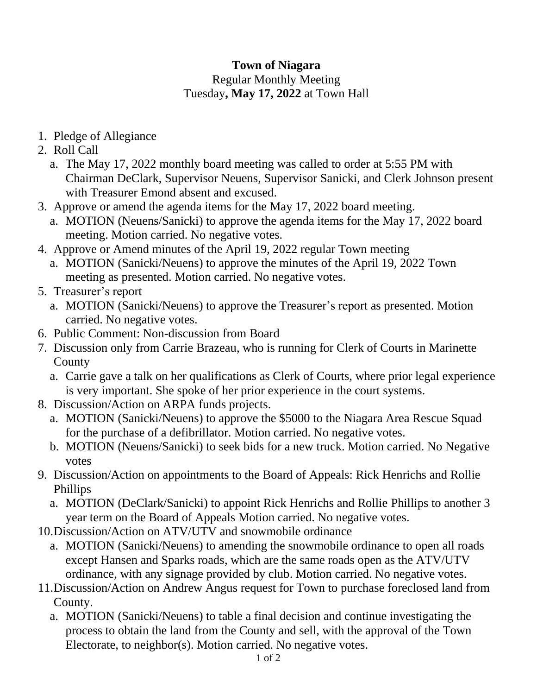## **Town of Niagara** Regular Monthly Meeting Tuesday**, May 17, 2022** at Town Hall

- 1. Pledge of Allegiance
- 2. Roll Call
	- a. The May 17, 2022 monthly board meeting was called to order at 5:55 PM with Chairman DeClark, Supervisor Neuens, Supervisor Sanicki, and Clerk Johnson present with Treasurer Emond absent and excused.
- 3. Approve or amend the agenda items for the May 17, 2022 board meeting.
	- a. MOTION (Neuens/Sanicki) to approve the agenda items for the May 17, 2022 board meeting. Motion carried. No negative votes.
- 4. Approve or Amend minutes of the April 19, 2022 regular Town meeting
	- a. MOTION (Sanicki/Neuens) to approve the minutes of the April 19, 2022 Town meeting as presented. Motion carried. No negative votes.
- 5. Treasurer's report
	- a. MOTION (Sanicki/Neuens) to approve the Treasurer's report as presented. Motion carried. No negative votes.
- 6. Public Comment: Non-discussion from Board
- 7. Discussion only from Carrie Brazeau, who is running for Clerk of Courts in Marinette County
	- a. Carrie gave a talk on her qualifications as Clerk of Courts, where prior legal experience is very important. She spoke of her prior experience in the court systems.
- 8. Discussion/Action on ARPA funds projects.
	- a. MOTION (Sanicki/Neuens) to approve the \$5000 to the Niagara Area Rescue Squad for the purchase of a defibrillator. Motion carried. No negative votes.
	- b. MOTION (Neuens/Sanicki) to seek bids for a new truck. Motion carried. No Negative votes
- 9. Discussion/Action on appointments to the Board of Appeals: Rick Henrichs and Rollie Phillips
	- a. MOTION (DeClark/Sanicki) to appoint Rick Henrichs and Rollie Phillips to another 3 year term on the Board of Appeals Motion carried. No negative votes.
- 10.Discussion/Action on ATV/UTV and snowmobile ordinance
	- a. MOTION (Sanicki/Neuens) to amending the snowmobile ordinance to open all roads except Hansen and Sparks roads, which are the same roads open as the ATV/UTV ordinance, with any signage provided by club. Motion carried. No negative votes.
- 11.Discussion/Action on Andrew Angus request for Town to purchase foreclosed land from County.
	- a. MOTION (Sanicki/Neuens) to table a final decision and continue investigating the process to obtain the land from the County and sell, with the approval of the Town Electorate, to neighbor(s). Motion carried. No negative votes.